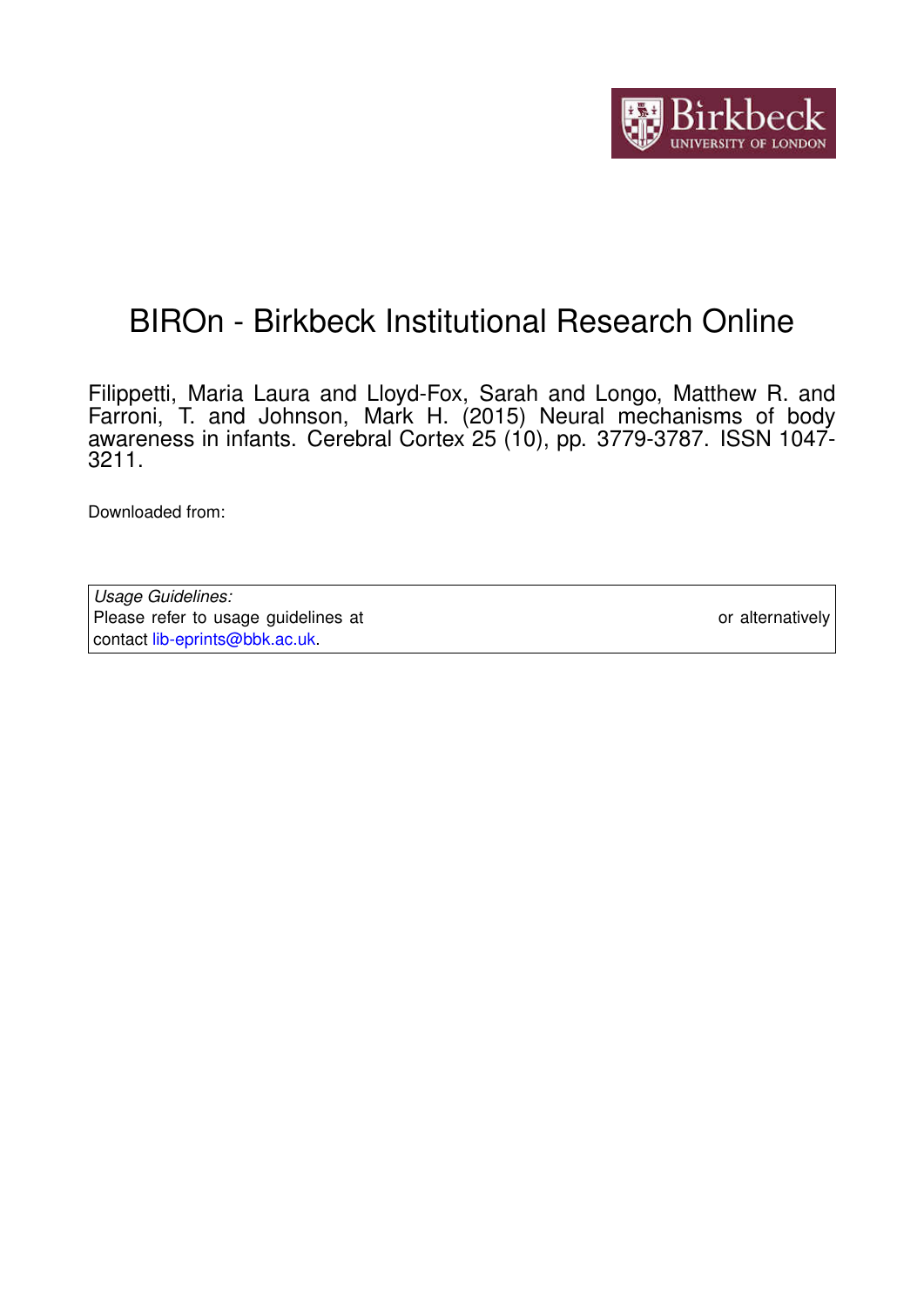

# BIROn - Birkbeck Institutional Research Online

Filippetti, Maria Laura and Lloyd-Fox, Sarah and Longo, Matthew R. and Farroni, T. and Johnson, Mark H. (2015) Neural mechanisms of body awareness in infants. Cerebral Cortex 25 (10), pp. 3779-3787. ISSN 1047-3211.

Downloaded from: <https://eprints.bbk.ac.uk/id/eprint/10818/>

*Usage Guidelines:* Please refer to usage guidelines at <https://eprints.bbk.ac.uk/policies.html> or alternatively contact [lib-eprints@bbk.ac.uk.](mailto:lib-eprints@bbk.ac.uk)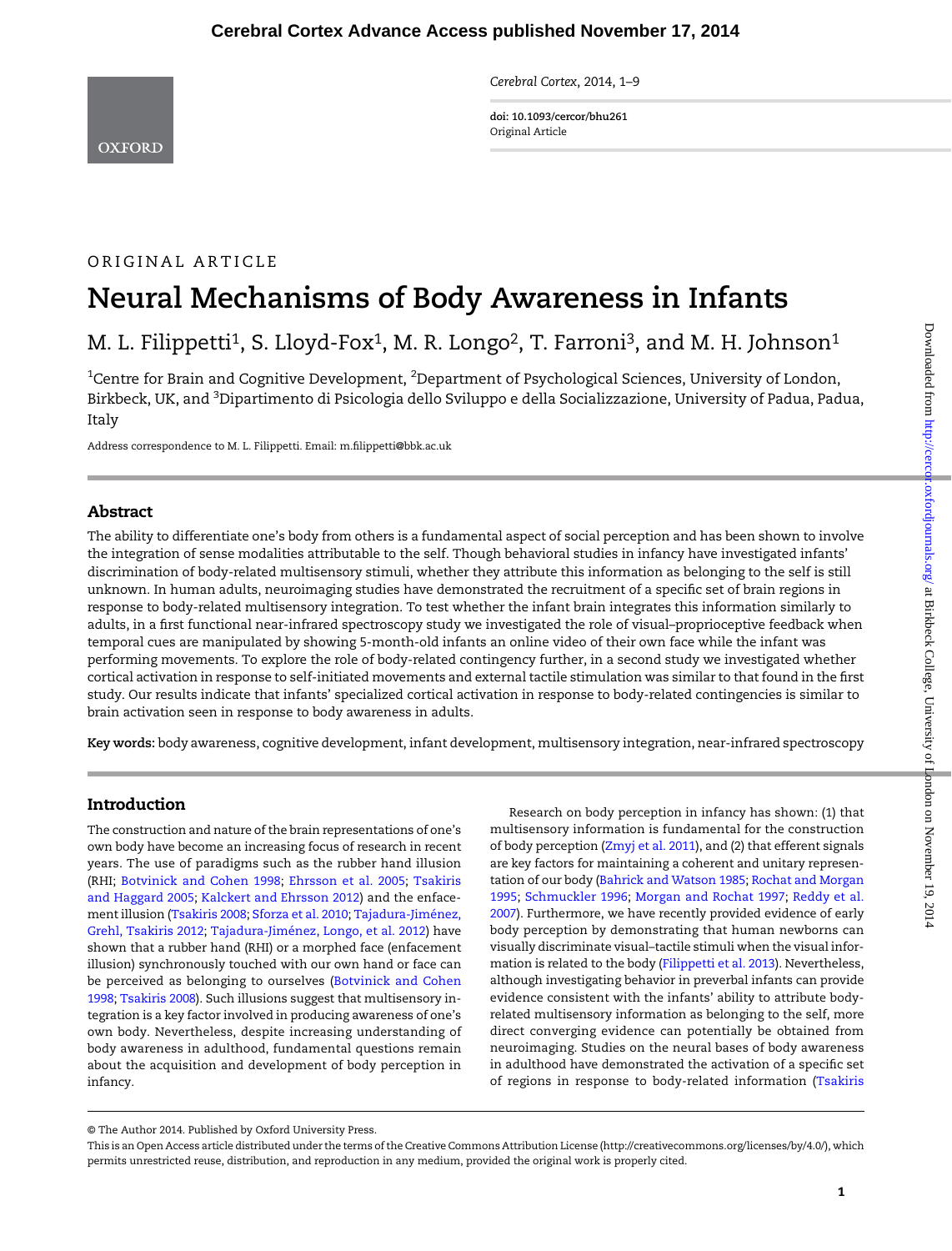Cerebral Cortex, 2014, 1–9

doi: 10.1093/cercor/bhu261 Original Article

# ORIGINAL ARTICLE

# Neural Mechanisms of Body Awareness in Infants

M. L. Filippetti<sup>1</sup>, S. Lloyd-Fox<sup>1</sup>, M. R. Longo<sup>2</sup>, T. Farroni<sup>3</sup>, and M. H. Johnson<sup>1</sup>

 $^{\rm 1}$ Centre for Brain and Cognitive Development,  $^{\rm 2}$ Department of Psychological Sciences, University of London, Birkbeck, UK, and <sup>3</sup>Dipartimento di Psicologia dello Sviluppo e della Socializzazione, University of Padua, Padua, Italy

Address correspondence to M. L. Filippetti. Email: m.filippetti@bbk.ac.uk

# Abstract

The ability to differentiate one's body from others is a fundamental aspect of social perception and has been shown to involve the integration of sense modalities attributable to the self. Though behavioral studies in infancy have investigated infants' discrimination of body-related multisensory stimuli, whether they attribute this information as belonging to the self is still unknown. In human adults, neuroimaging studies have demonstrated the recruitment of a specific set of brain regions in response to body-related multisensory integration. To test whether the infant brain integrates this information similarly to adults, in a first functional near-infrared spectroscopy study we investigated the role of visual–proprioceptive feedback when temporal cues are manipulated by showing 5-month-old infants an online video of their own face while the infant was performing movements. To explore the role of body-related contingency further, in a second study we investigated whether cortical activation in response to self-initiated movements and external tactile stimulation was similar to that found in the first study. Our results indicate that infants' specialized cortical activation in response to body-related contingencies is similar to brain activation seen in response to body awareness in adults.

Key words: body awareness, cognitive development, infant development, multisensory integration, near-infrared spectroscopy

# Introduction

The construction and nature of the brain representations of one's own body have become an increasing focus of research in recent years. The use of paradigms such as the rubber hand illusion (RHI; [Botvinick and Cohen 1998;](#page-8-0) [Ehrsson et al. 2005;](#page-8-0) [Tsakiris](#page-9-0) [and Haggard 2005;](#page-9-0) [Kalckert and Ehrsson 2012](#page-9-0)) and the enfacement illusion [\(Tsakiris 2008](#page-9-0); [Sforza et al. 2010;](#page-9-0) [Tajadura-Jiménez,](#page-9-0) [Grehl, Tsakiris 2012;](#page-9-0) [Tajadura-Jiménez, Longo, et al. 2012](#page-9-0)) have shown that a rubber hand (RHI) or a morphed face (enfacement illusion) synchronously touched with our own hand or face can be perceived as belonging to ourselves ([Botvinick and Cohen](#page-8-0) [1998](#page-8-0); [Tsakiris 2008\)](#page-9-0). Such illusions suggest that multisensory integration is a key factor involved in producing awareness of one's own body. Nevertheless, despite increasing understanding of body awareness in adulthood, fundamental questions remain about the acquisition and development of body perception in infancy.

Research on body perception in infancy has shown: (1) that multisensory information is fundamental for the construction of body perception ([Zmyj et al. 2011](#page-9-0)), and (2) that efferent signals are key factors for maintaining a coherent and unitary representation of our body [\(Bahrick and Watson 1985](#page-8-0); [Rochat and Morgan](#page-9-0) [1995;](#page-9-0) [Schmuckler 1996;](#page-9-0) [Morgan and Rochat 1997](#page-9-0); [Reddy et al.](#page-9-0) [2007](#page-9-0)). Furthermore, we have recently provided evidence of early body perception by demonstrating that human newborns can visually discriminate visual–tactile stimuli when the visual information is related to the body ([Filippetti et al. 2013\)](#page-8-0). Nevertheless, although investigating behavior in preverbal infants can provide evidence consistent with the infants' ability to attribute bodyrelated multisensory information as belonging to the self, more direct converging evidence can potentially be obtained from neuroimaging. Studies on the neural bases of body awareness in adulthood have demonstrated the activation of a specific set of regions in response to body-related information ([Tsakiris](#page-9-0)

Downloaded from http://cercqr.oxfordjournals.org/ at Birkbeck College, University of London on November 19, 2014 Downloaded from <http://cercor.oxfordjournals.org/> at Burkbeck College, University of London on November 19, 2014

<sup>©</sup> The Author 2014. Published by Oxford University Press.

This is an Open Access article distributed under the terms of the Creative Commons Attribution License [\(http://creativecommons.org/licenses/by/4.0/](http://creativecommons.org/licenses/by/4.0/)), which permits unrestricted reuse, distribution, and reproduction in any medium, provided the original work is properly cited.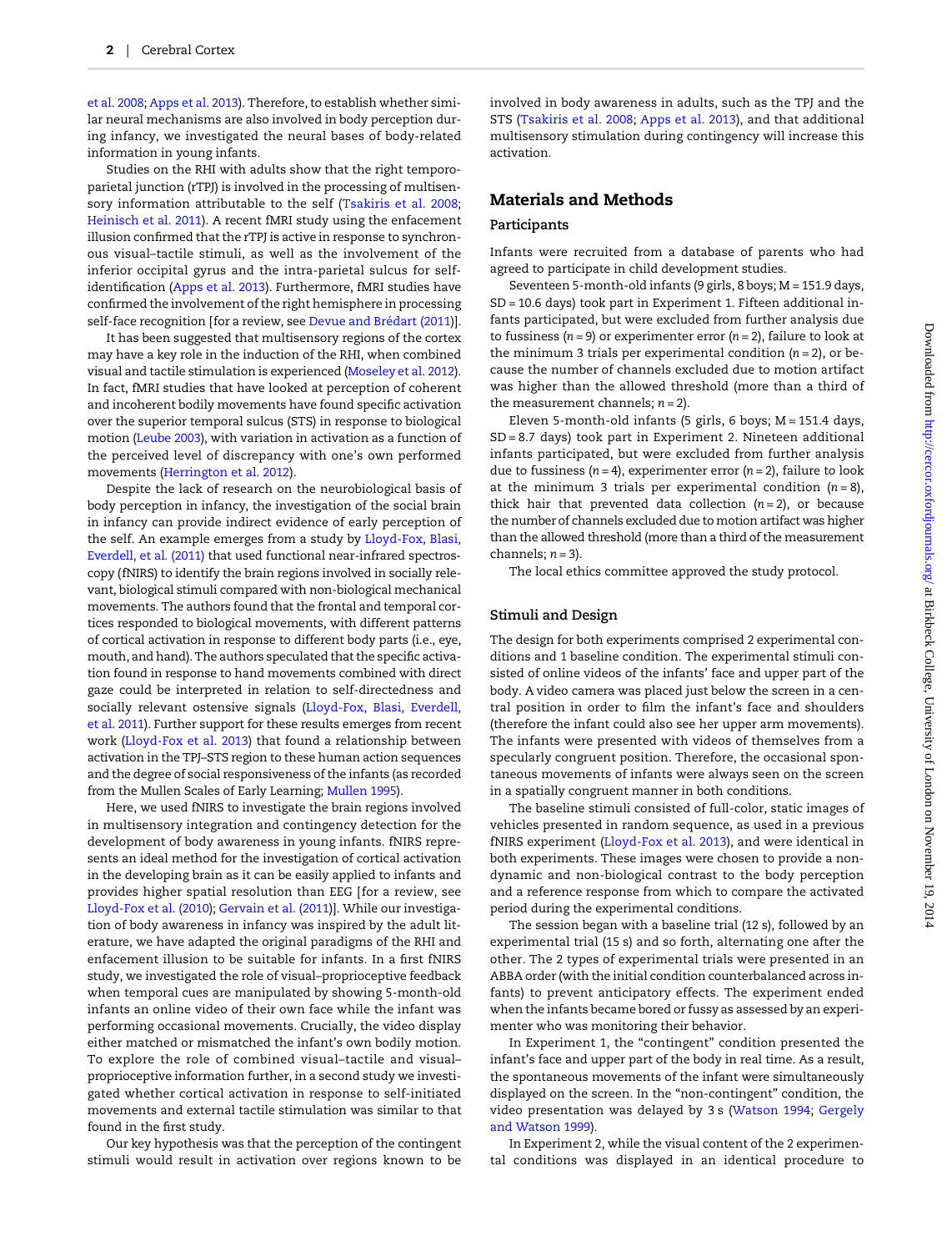[et al. 2008;](#page-9-0) [Apps et al. 2013](#page-8-0)). Therefore, to establish whether similar neural mechanisms are also involved in body perception during infancy, we investigated the neural bases of body-related information in young infants.

Studies on the RHI with adults show that the right temporoparietal junction (rTPJ) is involved in the processing of multisensory information attributable to the self [\(Tsakiris et al. 2008;](#page-9-0) [Heinisch et al. 2011](#page-9-0)). A recent fMRI study using the enfacement illusion confirmed that the rTPJ is active in response to synchronous visual–tactile stimuli, as well as the involvement of the inferior occipital gyrus and the intra-parietal sulcus for selfidentification [\(Apps et al. 2013](#page-8-0)). Furthermore, fMRI studies have confirmed the involvement of the right hemisphere in processing self-face recognition [for a review, see [Devue and Brédart \(2011\)](#page-8-0)].

It has been suggested that multisensory regions of the cortex may have a key role in the induction of the RHI, when combined visual and tactile stimulation is experienced ([Moseley et al. 2012](#page-9-0)). In fact, fMRI studies that have looked at perception of coherent and incoherent bodily movements have found specific activation over the superior temporal sulcus (STS) in response to biological motion [\(Leube 2003\)](#page-9-0), with variation in activation as a function of the perceived level of discrepancy with one's own performed movements ([Herrington et al. 2012](#page-9-0)).

Despite the lack of research on the neurobiological basis of body perception in infancy, the investigation of the social brain in infancy can provide indirect evidence of early perception of the self. An example emerges from a study by [Lloyd-Fox, Blasi,](#page-9-0) [Everdell, et al. \(2011\)](#page-9-0) that used functional near-infrared spectroscopy (fNIRS) to identify the brain regions involved in socially relevant, biological stimuli compared with non-biological mechanical movements. The authors found that the frontal and temporal cortices responded to biological movements, with different patterns of cortical activation in response to different body parts (i.e., eye, mouth, and hand). The authors speculated that the specific activation found in response to hand movements combined with direct gaze could be interpreted in relation to self-directedness and socially relevant ostensive signals [\(Lloyd-Fox, Blasi, Everdell,](#page-9-0) [et al. 2011](#page-9-0)). Further support for these results emerges from recent work [\(Lloyd-Fox et al. 2013](#page-9-0)) that found a relationship between activation in the TPJ–STS region to these human action sequences and the degree of social responsiveness of the infants (as recorded from the Mullen Scales of Early Learning; [Mullen 1995](#page-9-0)).

Here, we used fNIRS to investigate the brain regions involved in multisensory integration and contingency detection for the development of body awareness in young infants. fNIRS represents an ideal method for the investigation of cortical activation in the developing brain as it can be easily applied to infants and provides higher spatial resolution than EEG [for a review, see [Lloyd-Fox et al. \(2010\)](#page-9-0); [Gervain et al. \(2011\)](#page-9-0)]. While our investigation of body awareness in infancy was inspired by the adult literature, we have adapted the original paradigms of the RHI and enfacement illusion to be suitable for infants. In a first fNIRS study, we investigated the role of visual–proprioceptive feedback when temporal cues are manipulated by showing 5-month-old infants an online video of their own face while the infant was performing occasional movements. Crucially, the video display either matched or mismatched the infant's own bodily motion. To explore the role of combined visual–tactile and visual– proprioceptive information further, in a second study we investigated whether cortical activation in response to self-initiated movements and external tactile stimulation was similar to that found in the first study.

Our key hypothesis was that the perception of the contingent stimuli would result in activation over regions known to be

involved in body awareness in adults, such as the TPJ and the STS ([Tsakiris et al. 2008](#page-9-0); Apps [et al. 2013\)](#page-8-0), and that additional multisensory stimulation during contingency will increase this activation.

# Materials and Methods

#### Participants

Infants were recruited from a database of parents who had agreed to participate in child development studies.

Seventeen 5-month-old infants (9 girls, 8 boys; M = 151.9 days, SD = 10.6 days) took part in Experiment 1. Fifteen additional infants participated, but were excluded from further analysis due to fussiness ( $n = 9$ ) or experimenter error ( $n = 2$ ), failure to look at the minimum 3 trials per experimental condition  $(n = 2)$ , or because the number of channels excluded due to motion artifact was higher than the allowed threshold (more than a third of the measurement channels;  $n = 2$ ).

Eleven 5-month-old infants (5 girls, 6 boys; M = 151.4 days, SD = 8.7 days) took part in Experiment 2. Nineteen additional infants participated, but were excluded from further analysis due to fussiness ( $n = 4$ ), experimenter error ( $n = 2$ ), failure to look at the minimum 3 trials per experimental condition  $(n = 8)$ , thick hair that prevented data collection  $(n=2)$ , or because the number of channels excluded due to motion artifact was higher than the allowed threshold (more than a third of the measurement channels:  $n = 3$ ).

The local ethics committee approved the study protocol.

#### Stimuli and Design

The design for both experiments comprised 2 experimental conditions and 1 baseline condition. The experimental stimuli consisted of online videos of the infants' face and upper part of the body. A video camera was placed just below the screen in a central position in order to film the infant's face and shoulders (therefore the infant could also see her upper arm movements). The infants were presented with videos of themselves from a specularly congruent position. Therefore, the occasional spontaneous movements of infants were always seen on the screen in a spatially congruent manner in both conditions.

The baseline stimuli consisted of full-color, static images of vehicles presented in random sequence, as used in a previous fNIRS experiment ([Lloyd-Fox et al. 2013\)](#page-9-0), and were identical in both experiments. These images were chosen to provide a nondynamic and non-biological contrast to the body perception and a reference response from which to compare the activated period during the experimental conditions.

The session began with a baseline trial (12 s), followed by an experimental trial (15 s) and so forth, alternating one after the other. The 2 types of experimental trials were presented in an ABBA order (with the initial condition counterbalanced across infants) to prevent anticipatory effects. The experiment ended when the infants became bored or fussy as assessed by an experimenter who was monitoring their behavior.

In Experiment 1, the "contingent" condition presented the infant's face and upper part of the body in real time. As a result, the spontaneous movements of the infant were simultaneously displayed on the screen. In the "non-contingent" condition, the video presentation was delayed by 3 s [\(Watson 1994](#page-9-0); [Gergely](#page-9-0) [and Watson 1999](#page-9-0)).

In Experiment 2, while the visual content of the 2 experimental conditions was displayed in an identical procedure to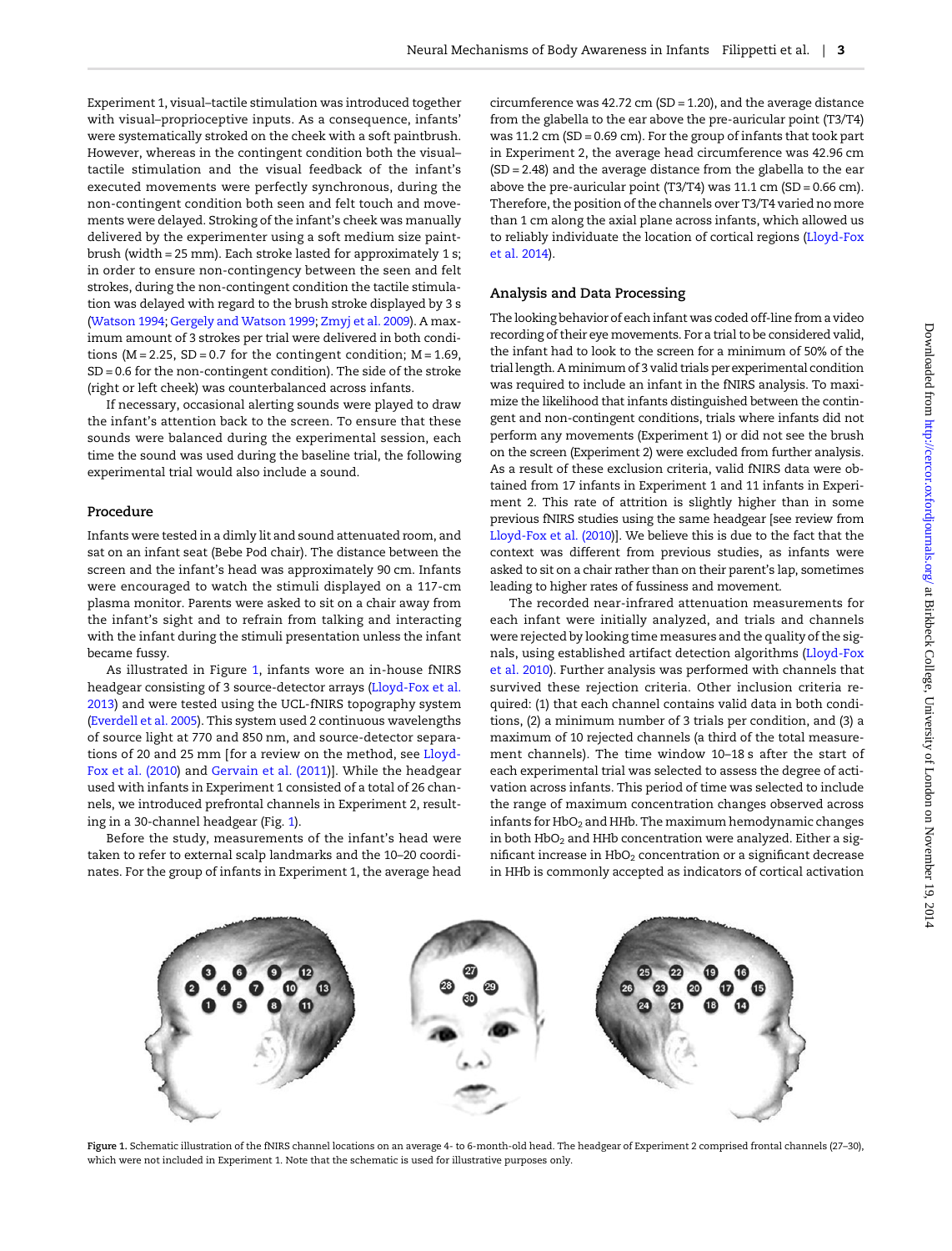Experiment 1, visual–tactile stimulation was introduced together with visual–proprioceptive inputs. As a consequence, infants' were systematically stroked on the cheek with a soft paintbrush. However, whereas in the contingent condition both the visual– tactile stimulation and the visual feedback of the infant's executed movements were perfectly synchronous, during the non-contingent condition both seen and felt touch and movements were delayed. Stroking of the infant's cheek was manually delivered by the experimenter using a soft medium size paintbrush (width = 25 mm). Each stroke lasted for approximately 1 s; in order to ensure non-contingency between the seen and felt strokes, during the non-contingent condition the tactile stimulation was delayed with regard to the brush stroke displayed by 3 s ([Watson 1994](#page-9-0); [Gergely and Watson 1999](#page-9-0); [Zmyj et al. 2009](#page-9-0)). A maximum amount of 3 strokes per trial were delivered in both conditions ( $M = 2.25$ ,  $SD = 0.7$  for the contingent condition;  $M = 1.69$ , SD = 0.6 for the non-contingent condition). The side of the stroke (right or left cheek) was counterbalanced across infants.

If necessary, occasional alerting sounds were played to draw the infant's attention back to the screen. To ensure that these sounds were balanced during the experimental session, each time the sound was used during the baseline trial, the following experimental trial would also include a sound.

#### Procedure

Infants were tested in a dimly lit and sound attenuated room, and sat on an infant seat (Bebe Pod chair). The distance between the screen and the infant's head was approximately 90 cm. Infants were encouraged to watch the stimuli displayed on a 117-cm plasma monitor. Parents were asked to sit on a chair away from the infant's sight and to refrain from talking and interacting with the infant during the stimuli presentation unless the infant became fussy.

As illustrated in Figure 1, infants wore an in-house fNIRS headgear consisting of 3 source-detector arrays ([Lloyd-Fox et al.](#page-9-0) [2013\)](#page-9-0) and were tested using the UCL-fNIRS topography system ([Everdell et al. 2005](#page-8-0)). This system used 2 continuous wavelengths of source light at 770 and 850 nm, and source-detector separations of 20 and 25 mm [for a review on the method, see [Lloyd-](#page-9-0)[Fox et al. \(2010\)](#page-9-0) and [Gervain et al. \(2011\)](#page-9-0)]. While the headgear used with infants in Experiment 1 consisted of a total of 26 channels, we introduced prefrontal channels in Experiment 2, resulting in a 30-channel headgear (Fig. 1).

Before the study, measurements of the infant's head were taken to refer to external scalp landmarks and the 10–20 coordinates. For the group of infants in Experiment 1, the average head circumference was 42.72 cm (SD = 1.20), and the average distance from the glabella to the ear above the pre-auricular point (T3/T4) was 11.2 cm (SD = 0.69 cm). For the group of infants that took part in Experiment 2, the average head circumference was 42.96 cm (SD = 2.48) and the average distance from the glabella to the ear above the pre-auricular point (T3/T4) was 11.1 cm (SD = 0.66 cm). Therefore, the position of the channels over T3/T4 varied no more than 1 cm along the axial plane across infants, which allowed us to reliably individuate the location of cortical regions ([Lloyd-Fox](#page-9-0) [et al. 2014](#page-9-0)).

#### Analysis and Data Processing

The looking behavior of each infant was coded off-line from a video recording of their eye movements. For a trial to be considered valid, the infant had to look to the screen for a minimum of 50% of the trial length. A minimum of 3 valid trials per experimental condition was required to include an infant in the fNIRS analysis. To maximize the likelihood that infants distinguished between the contingent and non-contingent conditions, trials where infants did not perform any movements (Experiment 1) or did not see the brush on the screen (Experiment 2) were excluded from further analysis. As a result of these exclusion criteria, valid fNIRS data were obtained from 17 infants in Experiment 1 and 11 infants in Experiment 2. This rate of attrition is slightly higher than in some previous fNIRS studies using the same headgear [see review from [Lloyd-Fox et al. \(2010\)](#page-9-0)]. We believe this is due to the fact that the context was different from previous studies, as infants were asked to sit on a chair rather than on their parent's lap, sometimes leading to higher rates of fussiness and movement.

The recorded near-infrared attenuation measurements for each infant were initially analyzed, and trials and channels were rejected by looking time measures and the quality of the signals, using established artifact detection algorithms [\(Lloyd-Fox](#page-9-0) [et al. 2010\)](#page-9-0). Further analysis was performed with channels that survived these rejection criteria. Other inclusion criteria required: (1) that each channel contains valid data in both conditions, (2) a minimum number of 3 trials per condition, and (3) a maximum of 10 rejected channels (a third of the total measurement channels). The time window 10–18 s after the start of each experimental trial was selected to assess the degree of activation across infants. This period of time was selected to include the range of maximum concentration changes observed across infants for  $HbO<sub>2</sub>$  and HHb. The maximum hemodynamic changes in both  $HbO<sub>2</sub>$  and HHb concentration were analyzed. Either a significant increase in  $HbO<sub>2</sub>$  concentration or a significant decrease in HHb is commonly accepted as indicators of cortical activation



Figure 1. Schematic illustration of the fNIRS channel locations on an average 4- to 6-month-old head. The headgear of Experiment 2 comprised frontal channels (27–30), which were not included in Experiment 1. Note that the schematic is used for illustrative purposes only.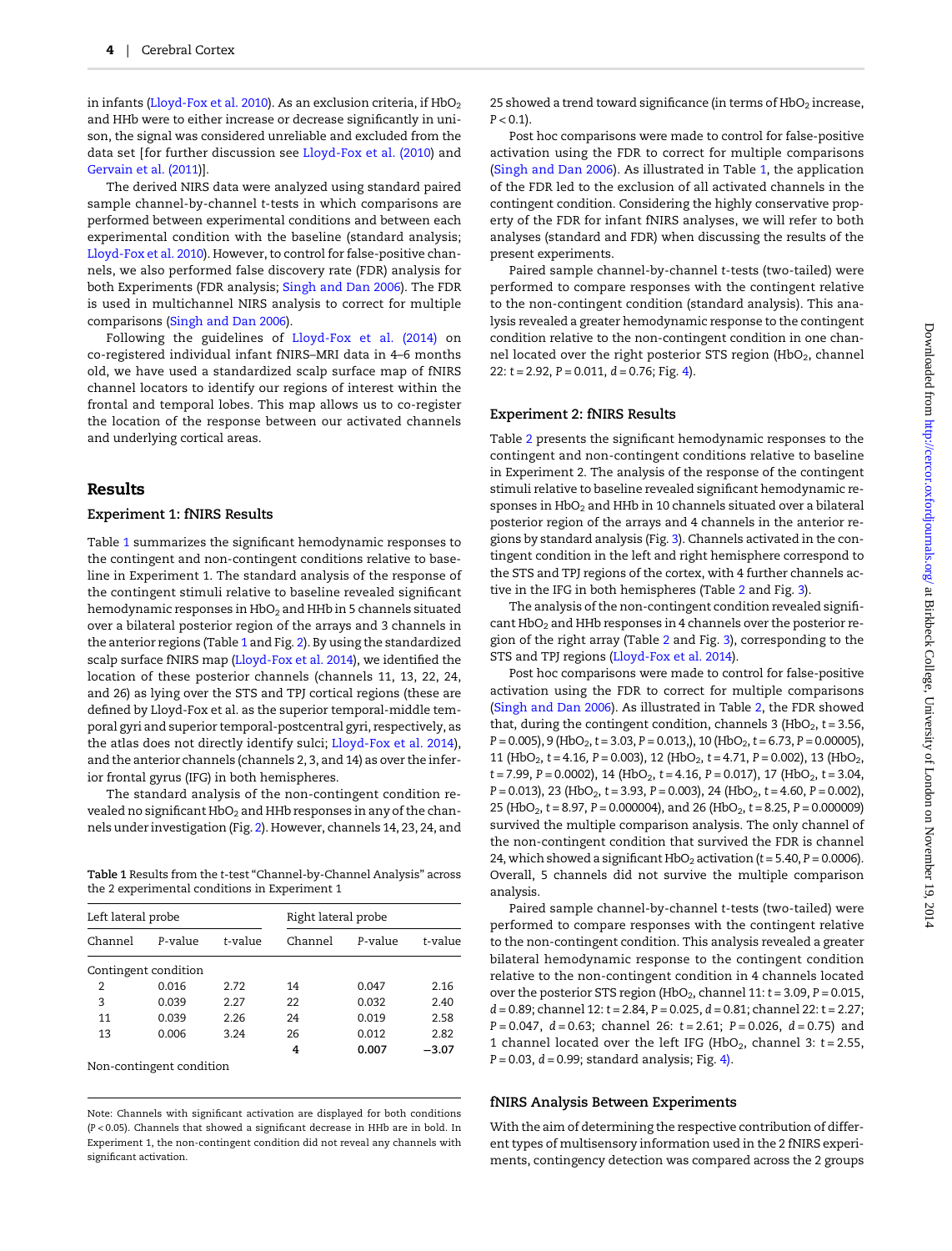in infants [\(Lloyd-Fox et al. 2010\)](#page-9-0). As an exclusion criteria, if  $HbO<sub>2</sub>$ and HHb were to either increase or decrease significantly in unison, the signal was considered unreliable and excluded from the data set [for further discussion see [Lloyd-Fox et al. \(2010\)](#page-9-0) and [Gervain et al. \(2011](#page-9-0))].

The derived NIRS data were analyzed using standard paired sample channel-by-channel t-tests in which comparisons are performed between experimental conditions and between each experimental condition with the baseline (standard analysis; [Lloyd-Fox et al. 2010](#page-9-0)). However, to control for false-positive channels, we also performed false discovery rate (FDR) analysis for both Experiments (FDR analysis; [Singh and Dan 2006\)](#page-9-0). The FDR is used in multichannel NIRS analysis to correct for multiple comparisons [\(Singh and Dan 2006\)](#page-9-0).

Following the guidelines of [Lloyd-Fox et al. \(2014\)](#page-9-0) on co-registered individual infant fNIRS–MRI data in 4–6 months old, we have used a standardized scalp surface map of fNIRS channel locators to identify our regions of interest within the frontal and temporal lobes. This map allows us to co-register the location of the response between our activated channels and underlying cortical areas.

## Results

#### Experiment 1: fNIRS Results

Table 1 summarizes the significant hemodynamic responses to the contingent and non-contingent conditions relative to baseline in Experiment 1. The standard analysis of the response of the contingent stimuli relative to baseline revealed significant hemodynamic responses in HbO<sub>2</sub> and HHb in 5 channels situated over a bilateral posterior region of the arrays and 3 channels in the anterior regions (Table 1 and Fig. [2\)](#page-5-0). By using the standardized scalp surface fNIRS map [\(Lloyd-Fox et al. 2014\)](#page-9-0), we identified the location of these posterior channels (channels 11, 13, 22, 24, and 26) as lying over the STS and TPJ cortical regions (these are defined by Lloyd-Fox et al. as the superior temporal-middle temporal gyri and superior temporal-postcentral gyri, respectively, as the atlas does not directly identify sulci; [Lloyd-Fox et al. 2014](#page-9-0)), and the anterior channels (channels 2, 3, and 14) as over the inferior frontal gyrus (IFG) in both hemispheres.

The standard analysis of the non-contingent condition revealed no significant  $HbO<sub>2</sub>$  and  $HHb$  responses in any of the channels under investigation (Fig. [2\)](#page-5-0). However, channels 14, 23, 24, and

Table 1 Results from the t-test "Channel-by-Channel Analysis" across the 2 experimental conditions in Experiment 1

| Left lateral probe |                      |         | Right lateral probe |         |         |
|--------------------|----------------------|---------|---------------------|---------|---------|
| Channel            | P-value              | t-value | Channel             | P-value | t-value |
|                    | Contingent condition |         |                     |         |         |
| 2                  | 0.016                | 2.72    | 14                  | 0.047   | 2.16    |
| 3                  | 0.039                | 2.27    | 22                  | 0.032   | 2.40    |
| 11                 | 0.039                | 2.26    | 24                  | 0.019   | 2.58    |
| 13                 | 0.006                | 3.24    | 26                  | 0.012   | 2.82    |
|                    |                      |         | 4                   | 0.007   | $-3.07$ |

Non-contingent condition

Note: Channels with significant activation are displayed for both conditions (P < 0.05). Channels that showed a significant decrease in HHb are in bold. In Experiment 1, the non-contingent condition did not reveal any channels with significant activation.

25 showed a trend toward significance (in terms of  $HbO<sub>2</sub>$  increase,  $P < 0.1$ ).

Post hoc comparisons were made to control for false-positive activation using the FDR to correct for multiple comparisons ([Singh and Dan 2006\)](#page-9-0). As illustrated in Table 1, the application of the FDR led to the exclusion of all activated channels in the contingent condition. Considering the highly conservative property of the FDR for infant fNIRS analyses, we will refer to both analyses (standard and FDR) when discussing the results of the present experiments.

Paired sample channel-by-channel t-tests (two-tailed) were performed to compare responses with the contingent relative to the non-contingent condition (standard analysis). This analysis revealed a greater hemodynamic response to the contingent condition relative to the non-contingent condition in one channel located over the right posterior STS region (HbO<sub>2</sub>, channel 22:  $t = 2.92$ ,  $P = 0.011$ ,  $d = 0.76$ ; Fig. [4](#page-7-0)).

#### Experiment 2: fNIRS Results

Table [2](#page-6-0) presents the significant hemodynamic responses to the contingent and non-contingent conditions relative to baseline in Experiment 2. The analysis of the response of the contingent stimuli relative to baseline revealed significant hemodynamic responses in HbO<sub>2</sub> and HHb in 10 channels situated over a bilateral posterior region of the arrays and 4 channels in the anterior regions by standard analysis (Fig. [3\)](#page-6-0). Channels activated in the contingent condition in the left and right hemisphere correspond to the STS and TPJ regions of the cortex, with 4 further channels active in the IFG in both hemispheres (Table [2](#page-6-0) and Fig. [3](#page-6-0)).

The analysis of the non-contingent condition revealed significant HbO<sub>2</sub> and HHb responses in 4 channels over the posterior region of the right array (Table [2](#page-6-0) and Fig. [3\)](#page-6-0), corresponding to the STS and TPJ regions ([Lloyd-Fox et al. 2014](#page-9-0)).

Post hoc comparisons were made to control for false-positive activation using the FDR to correct for multiple comparisons ([Singh and Dan 2006\)](#page-9-0). As illustrated in Table [2,](#page-6-0) the FDR showed that, during the contingent condition, channels  $3$  (HbO<sub>2</sub>, t = 3.56,  $P = 0.005$ , 9 (HbO<sub>2</sub>, t = 3.03, P = 0.013,), 10 (HbO<sub>2</sub>, t = 6.73, P = 0.00005), 11 (HbO<sub>2</sub>, t = 4.16, P = 0.003), 12 (HbO<sub>2</sub>, t = 4.71, P = 0.002), 13 (HbO<sub>2</sub>,  $t = 7.99$ ,  $P = 0.0002$ ),  $14 \text{ (HbO}_2, t = 4.16, P = 0.017)$ ,  $17 \text{ (HbO}_2, t = 3.04,$  $P = 0.013$ ), 23 (HbO<sub>2</sub>, t = 3.93, P = 0.003), 24 (HbO<sub>2</sub>, t = 4.60, P = 0.002), 25 (HbO<sub>2</sub>,  $t = 8.97$ ,  $P = 0.000004$ ), and 26 (HbO<sub>2</sub>,  $t = 8.25$ ,  $P = 0.000009$ ) survived the multiple comparison analysis. The only channel of the non-contingent condition that survived the FDR is channel 24, which showed a significant  $HbO<sub>2</sub>$  activation (t = 5.40, P = 0.0006). Overall, 5 channels did not survive the multiple comparison analysis.

Paired sample channel-by-channel t-tests (two-tailed) were performed to compare responses with the contingent relative to the non-contingent condition. This analysis revealed a greater bilateral hemodynamic response to the contingent condition relative to the non-contingent condition in 4 channels located over the posterior STS region (HbO<sub>2</sub>, channel 11:  $t = 3.09$ ,  $P = 0.015$ ,  $d = 0.89$ ; channel 12: t = 2.84, P = 0.025,  $d = 0.81$ ; channel 22: t = 2.27;  $P = 0.047$ ,  $d = 0.63$ ; channel 26:  $t = 2.61$ ;  $P = 0.026$ ,  $d = 0.75$ ) and 1 channel located over the left IFG (HbO<sub>2</sub>, channel 3:  $t = 2.55$ ,  $P = 0.03$ ,  $d = 0.99$ ; standard analysis; Fig. [4\)](#page-7-0).

#### fNIRS Analysis Between Experiments

With the aim of determining the respective contribution of different types of multisensory information used in the 2 fNIRS experiments, contingency detection was compared across the 2 groups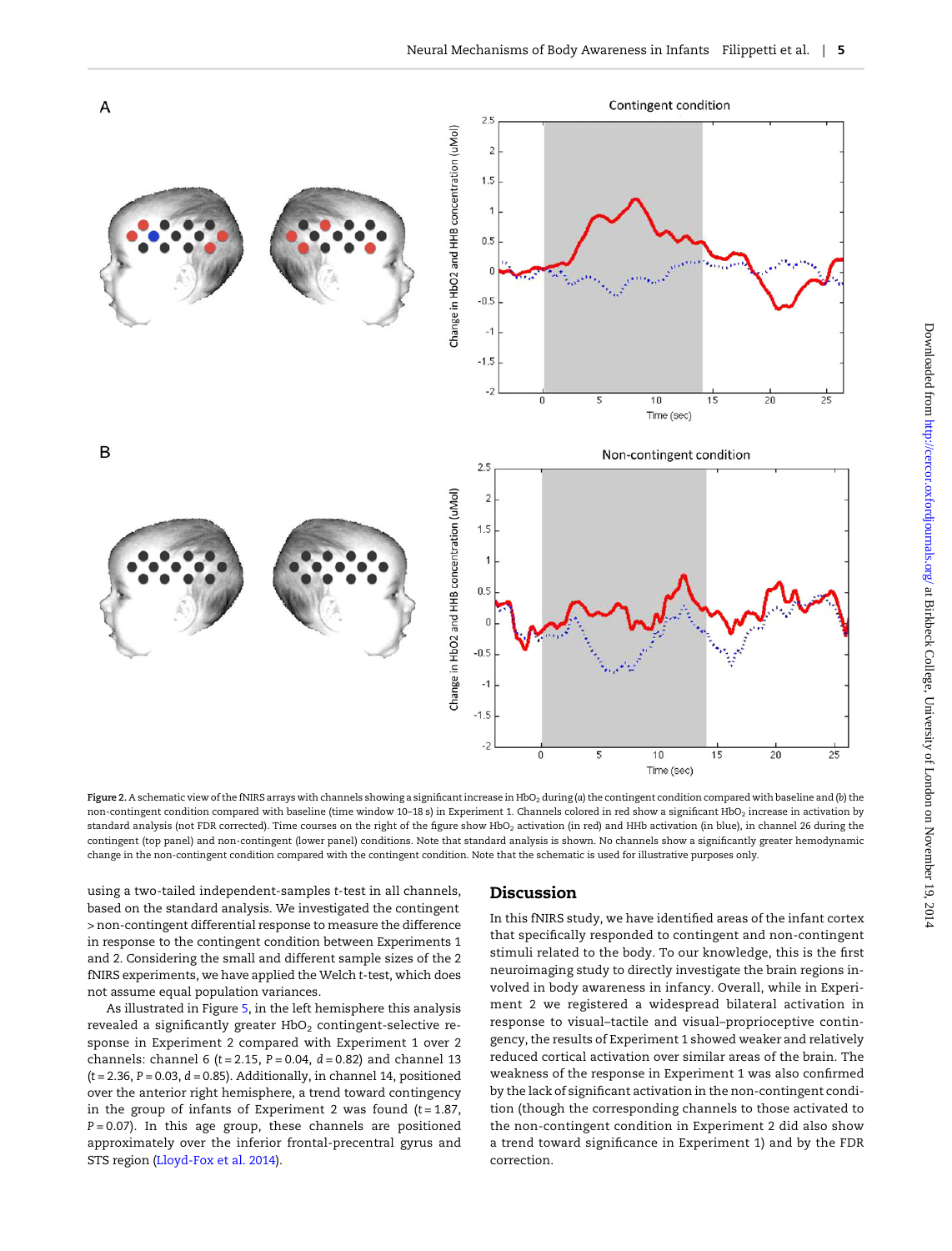<span id="page-5-0"></span>

Figure 2. A schematic view of the fNIRS arrays with channels showing a significant increase in HbO<sub>2</sub> during (a) the contingent condition compared with baseline and (b) the non-contingent condition compared with baseline (time window 10-18 s) in Experiment 1. Channels colored in red show a significant HbO<sub>2</sub> increase in activation by standard analysis (not FDR corrected). Time courses on the right of the figure show HbO<sub>2</sub> activation (in red) and HHb activation (in blue), in channel 26 during the contingent (top panel) and non-contingent (lower panel) conditions. Note that standard analysis is shown. No channels show a significantly greater hemodynamic change in the non-contingent condition compared with the contingent condition. Note that the schematic is used for illustrative purposes only.

using a two-tailed independent-samples t-test in all channels, based on the standard analysis. We investigated the contingent > non-contingent differential response to measure the difference in response to the contingent condition between Experiments 1 and 2. Considering the small and different sample sizes of the 2 fNIRS experiments, we have applied the Welch t-test, which does not assume equal population variances.

As illustrated in Figure [5](#page-7-0), in the left hemisphere this analysis revealed a significantly greater  $HbO<sub>2</sub>$  contingent-selective response in Experiment 2 compared with Experiment 1 over 2 channels: channel 6 (t = 2.15,  $P = 0.04$ ,  $d = 0.82$ ) and channel 13  $(t = 2.36, P = 0.03, d = 0.85)$ . Additionally, in channel 14, positioned over the anterior right hemisphere, a trend toward contingency in the group of infants of Experiment 2 was found  $(t = 1.87,$  $P = 0.07$ ). In this age group, these channels are positioned approximately over the inferior frontal-precentral gyrus and STS region [\(Lloyd-Fox et al. 2014](#page-9-0)).

## Discussion

In this fNIRS study, we have identified areas of the infant cortex that specifically responded to contingent and non-contingent stimuli related to the body. To our knowledge, this is the first neuroimaging study to directly investigate the brain regions involved in body awareness in infancy. Overall, while in Experiment 2 we registered a widespread bilateral activation in response to visual–tactile and visual–proprioceptive contingency, the results of Experiment 1 showed weaker and relatively reduced cortical activation over similar areas of the brain. The weakness of the response in Experiment 1 was also confirmed by the lack of significant activation in the non-contingent condition (though the corresponding channels to those activated to the non-contingent condition in Experiment 2 did also show a trend toward significance in Experiment 1) and by the FDR correction.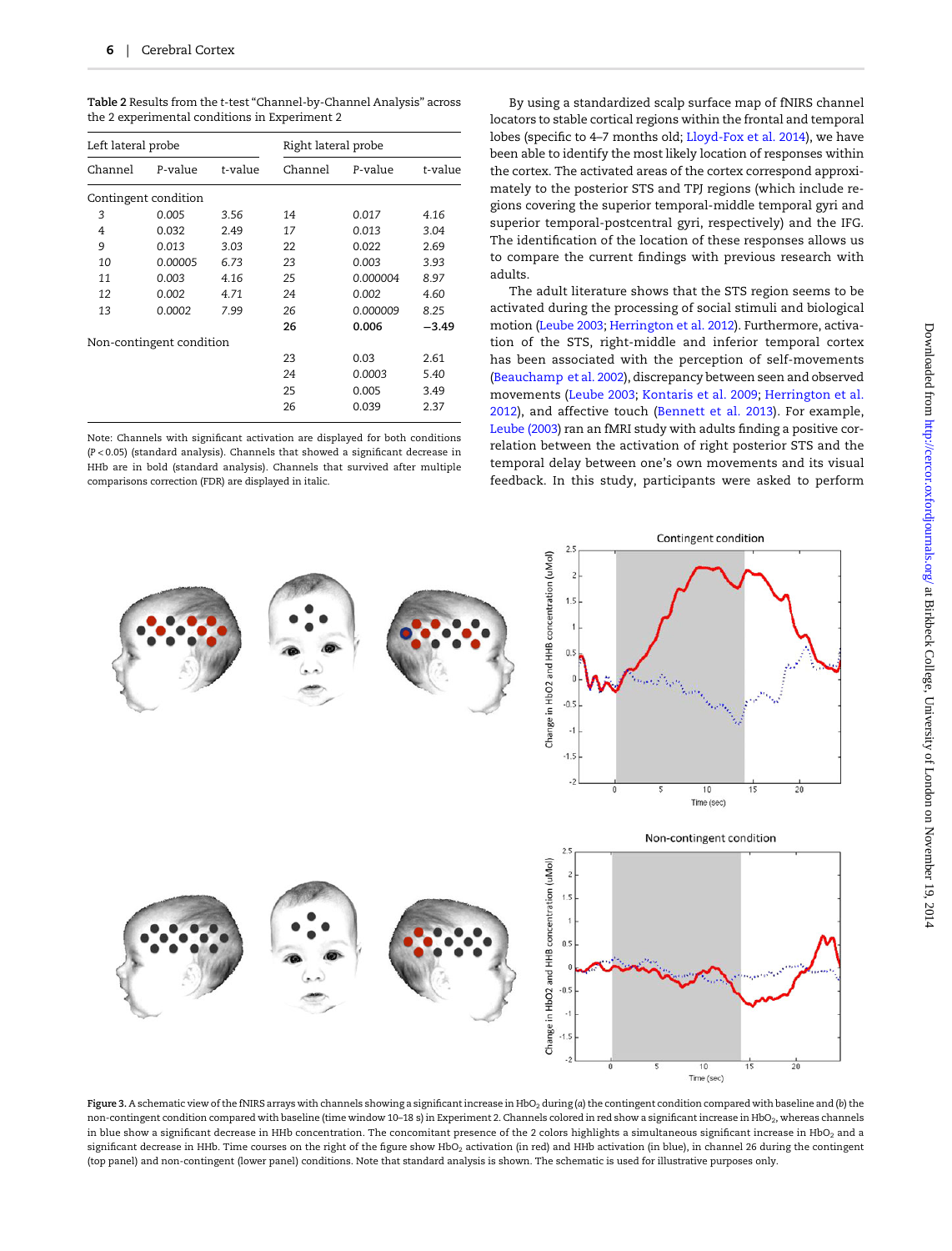| Left lateral probe |                          |         | Right lateral probe |          |         |
|--------------------|--------------------------|---------|---------------------|----------|---------|
| Channel            | P-value                  | t-value | Channel             | P-value  | t-value |
|                    | Contingent condition     |         |                     |          |         |
| 3                  | 0.005                    | 3.56    | 14                  | 0.017    | 4.16    |
| 4                  | 0.032                    | 2.49    | 17                  | 0.013    | 3.04    |
| 9                  | 0.013                    | 3.03    | 22                  | 0.022    | 2.69    |
| 10                 | 0.00005                  | 6.73    | 23                  | 0.003    | 3.93    |
| 11                 | 0.003                    | 4.16    | 25                  | 0.000004 | 8.97    |
| 12                 | 0.002                    | 4.71    | 24                  | 0.002    | 4.60    |
| 13                 | 0.0002                   | 7.99    | 26                  | 0.000009 | 8.25    |
|                    |                          |         | 26                  | 0.006    | $-3.49$ |
|                    | Non-contingent condition |         |                     |          |         |
|                    |                          |         | 23                  | 0.03     | 2.61    |
|                    |                          |         | 24                  | 0.0003   | 5.40    |
|                    |                          |         | 25                  | 0.005    | 3.49    |
|                    |                          |         | 26                  | 0.039    | 2.37    |

<span id="page-6-0"></span>Table 2 Results from the t-test "Channel-by-Channel Analysis" across the 2 experimental conditions in Experiment 2

Note: Channels with significant activation are displayed for both conditions (P < 0.05) (standard analysis). Channels that showed a significant decrease in HHb are in bold (standard analysis). Channels that survived after multiple comparisons correction (FDR) are displayed in italic.

By using a standardized scalp surface map of fNIRS channel locators to stable cortical regions within the frontal and temporal lobes (specific to 4–7 months old; [Lloyd-Fox et al. 2014](#page-9-0)), we have been able to identify the most likely location of responses within the cortex. The activated areas of the cortex correspond approximately to the posterior STS and TPJ regions (which include regions covering the superior temporal-middle temporal gyri and superior temporal-postcentral gyri, respectively) and the IFG. The identification of the location of these responses allows us to compare the current findings with previous research with adults.

The adult literature shows that the STS region seems to be activated during the processing of social stimuli and biological motion [\(Leube 2003;](#page-9-0) [Herrington et al. 2012](#page-9-0)). Furthermore, activation of the STS, right-middle and inferior temporal cortex has been associated with the perception of self-movements ([Beauchamp et al. 2002](#page-8-0)), discrepancy between seen and observed movements ([Leube 2003](#page-9-0); [Kontaris et al. 2009](#page-9-0); [Herrington et al.](#page-9-0) [2012\)](#page-9-0), and affective touch [\(Bennett et al. 2013\)](#page-8-0). For example, [Leube \(2003\)](#page-9-0) ran an fMRI study with adults finding a positive correlation between the activation of right posterior STS and the temporal delay between one's own movements and its visual feedback. In this study, participants were asked to perform



Figure 3. A schematic view of the fNIRS arrays with channels showing a significant increase in HbO<sub>2</sub> during (a) the contingent condition compared with baseline and (b) the non-contingent condition compared with baseline (time window 10-18 s) in Experiment 2. Channels colored in red show a significant increase in HbO<sub>2</sub>, whereas channels in blue show a significant decrease in HHb concentration. The concomitant presence of the 2 colors highlights a simultaneous significant increase in HbO<sub>2</sub> and a significant decrease in HHb. Time courses on the right of the figure show HbO<sub>2</sub> activation (in red) and HHb activation (in blue), in channel 26 during the contingent (top panel) and non-contingent (lower panel) conditions. Note that standard analysis is shown. The schematic is used for illustrative purposes only.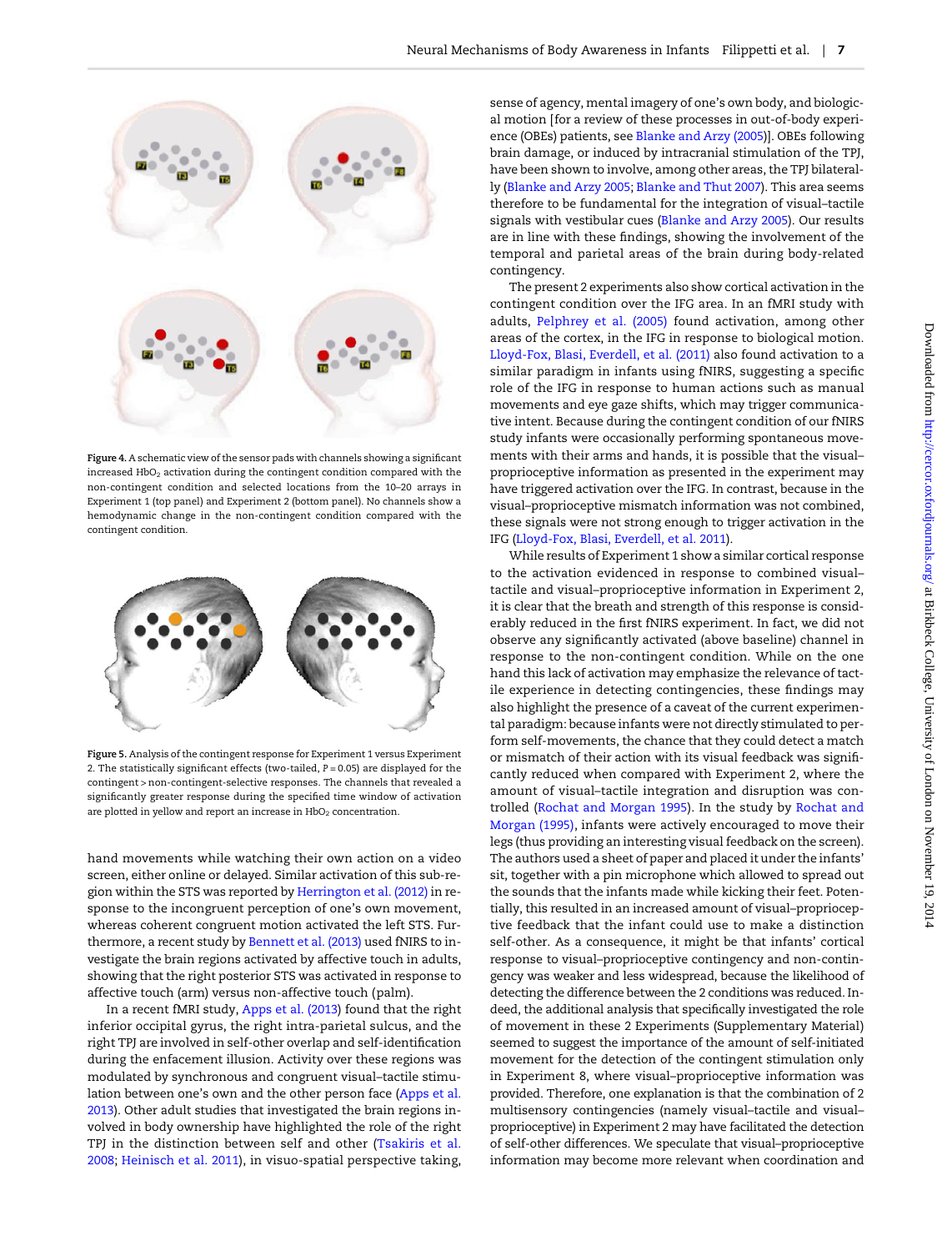<span id="page-7-0"></span>

Figure 4. A schematic view of the sensor pads with channels showing a significant increased  $HbO<sub>2</sub>$  activation during the contingent condition compared with the non-contingent condition and selected locations from the 10–20 arrays in Experiment 1 (top panel) and Experiment 2 (bottom panel). No channels show a hemodynamic change in the non-contingent condition compared with the contingent condition.



Figure 5. Analysis of the contingent response for Experiment 1 versus Experiment 2. The statistically significant effects (two-tailed,  $P = 0.05$ ) are displayed for the contingent > non-contingent-selective responses. The channels that revealed a significantly greater response during the specified time window of activation are plotted in yellow and report an increase in  $HbO<sub>2</sub>$  concentration.

hand movements while watching their own action on a video screen, either online or delayed. Similar activation of this sub-region within the STS was reported by [Herrington et al. \(2012\)](#page-9-0) in response to the incongruent perception of one's own movement, whereas coherent congruent motion activated the left STS. Furthermore, a recent study by [Bennett et al. \(2013\)](#page-8-0) used fNIRS to investigate the brain regions activated by affective touch in adults, showing that the right posterior STS was activated in response to affective touch (arm) versus non-affective touch (palm).

In a recent fMRI study, [Apps et al. \(2013](#page-8-0)) found that the right inferior occipital gyrus, the right intra-parietal sulcus, and the right TPJ are involved in self-other overlap and self-identification during the enfacement illusion. Activity over these regions was modulated by synchronous and congruent visual–tactile stimulation between one's own and the other person face ([Apps et al.](#page-8-0) [2013](#page-8-0)). Other adult studies that investigated the brain regions involved in body ownership have highlighted the role of the right TPJ in the distinction between self and other ([Tsakiris et al.](#page-9-0) [2008;](#page-9-0) [Heinisch et al. 2011\)](#page-9-0), in visuo-spatial perspective taking,

sense of agency, mental imagery of one's own body, and biological motion [for a review of these processes in out-of-body experience (OBEs) patients, see [Blanke and Arzy \(2005\)](#page-8-0)]. OBEs following brain damage, or induced by intracranial stimulation of the TPJ, have been shown to involve, among other areas, the TPJ bilaterally [\(Blanke and Arzy 2005](#page-8-0); [Blanke and Thut 2007](#page-8-0)). This area seems therefore to be fundamental for the integration of visual–tactile signals with vestibular cues ([Blanke and Arzy 2005](#page-8-0)). Our results are in line with these findings, showing the involvement of the temporal and parietal areas of the brain during body-related contingency.

The present 2 experiments also show cortical activation in the contingent condition over the IFG area. In an fMRI study with adults, [Pelphrey et al. \(2005\)](#page-9-0) found activation, among other areas of the cortex, in the IFG in response to biological motion. [Lloyd-Fox, Blasi, Everdell, et al. \(2011\)](#page-9-0) also found activation to a similar paradigm in infants using fNIRS, suggesting a specific role of the IFG in response to human actions such as manual movements and eye gaze shifts, which may trigger communicative intent. Because during the contingent condition of our fNIRS study infants were occasionally performing spontaneous movements with their arms and hands, it is possible that the visual– proprioceptive information as presented in the experiment may have triggered activation over the IFG. In contrast, because in the visual–proprioceptive mismatch information was not combined, these signals were not strong enough to trigger activation in the IFG ([Lloyd-Fox, Blasi, Everdell, et al. 2011](#page-9-0)).

While results of Experiment 1 show a similar cortical response to the activation evidenced in response to combined visual– tactile and visual–proprioceptive information in Experiment 2, it is clear that the breath and strength of this response is considerably reduced in the first fNIRS experiment. In fact, we did not observe any significantly activated (above baseline) channel in response to the non-contingent condition. While on the one hand this lack of activation may emphasize the relevance of tactile experience in detecting contingencies, these findings may also highlight the presence of a caveat of the current experimental paradigm: because infants were not directly stimulated to perform self-movements, the chance that they could detect a match or mismatch of their action with its visual feedback was significantly reduced when compared with Experiment 2, where the amount of visual–tactile integration and disruption was controlled [\(Rochat and Morgan 1995](#page-9-0)). In the study by [Rochat and](#page-9-0) [Morgan \(1995\)](#page-9-0), infants were actively encouraged to move their legs (thus providing an interesting visual feedback on the screen). The authors used a sheet of paper and placed it under the infants' sit, together with a pin microphone which allowed to spread out the sounds that the infants made while kicking their feet. Potentially, this resulted in an increased amount of visual–proprioceptive feedback that the infant could use to make a distinction self-other. As a consequence, it might be that infants' cortical response to visual–proprioceptive contingency and non-contingency was weaker and less widespread, because the likelihood of detecting the difference between the 2 conditions was reduced. Indeed, the additional analysis that specifically investigated the role of movement in these 2 Experiments ([Supplementary Material](http://cercor.oxfordjournals.org/lookup/suppl/doi:10.1093/cercor/bhu261/-/DC1)) seemed to suggest the importance of the amount of self-initiated movement for the detection of the contingent stimulation only in Experiment 8, where visual–proprioceptive information was provided. Therefore, one explanation is that the combination of 2 multisensory contingencies (namely visual–tactile and visual– proprioceptive) in Experiment 2 may have facilitated the detection of self-other differences. We speculate that visual–proprioceptive information may become more relevant when coordination and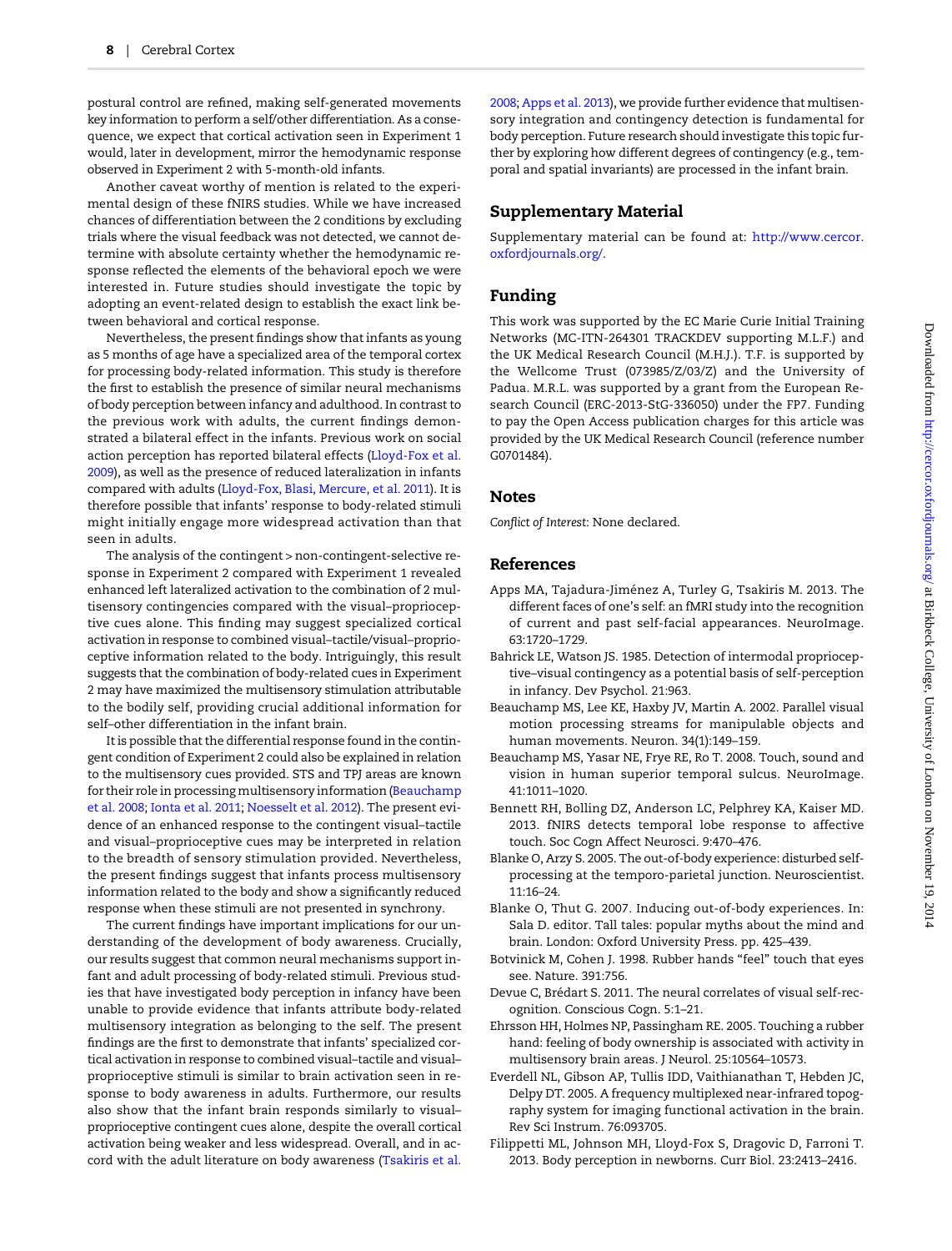<span id="page-8-0"></span>postural control are refined, making self-generated movements key information to perform a self/other differentiation. As a consequence, we expect that cortical activation seen in Experiment 1 would, later in development, mirror the hemodynamic response observed in Experiment 2 with 5-month-old infants.

Another caveat worthy of mention is related to the experimental design of these fNIRS studies. While we have increased chances of differentiation between the 2 conditions by excluding trials where the visual feedback was not detected, we cannot determine with absolute certainty whether the hemodynamic response reflected the elements of the behavioral epoch we were interested in. Future studies should investigate the topic by adopting an event-related design to establish the exact link between behavioral and cortical response.

Nevertheless, the present findings show that infants as young as 5 months of age have a specialized area of the temporal cortex for processing body-related information. This study is therefore the first to establish the presence of similar neural mechanisms of body perception between infancy and adulthood. In contrast to the previous work with adults, the current findings demonstrated a bilateral effect in the infants. Previous work on social action perception has reported bilateral effects [\(Lloyd-Fox et al.](#page-9-0) [2009](#page-9-0)), as well as the presence of reduced lateralization in infants compared with adults ([Lloyd-Fox, Blasi, Mercure, et al. 2011](#page-9-0)). It is therefore possible that infants' response to body-related stimuli might initially engage more widespread activation than that seen in adults.

The analysis of the contingent > non-contingent-selective response in Experiment 2 compared with Experiment 1 revealed enhanced left lateralized activation to the combination of 2 multisensory contingencies compared with the visual–proprioceptive cues alone. This finding may suggest specialized cortical activation in response to combined visual–tactile/visual–proprioceptive information related to the body. Intriguingly, this result suggests that the combination of body-related cues in Experiment 2 may have maximized the multisensory stimulation attributable to the bodily self, providing crucial additional information for self–other differentiation in the infant brain.

It is possible that the differential response found in the contingent condition of Experiment 2 could also be explained in relation to the multisensory cues provided. STS and TPJ areas are known for their role in processing multisensory information (Beauchamp et al. 2008; [Ionta et al. 2011;](#page-9-0) [Noesselt et al. 2012\)](#page-9-0). The present evidence of an enhanced response to the contingent visual–tactile and visual–proprioceptive cues may be interpreted in relation to the breadth of sensory stimulation provided. Nevertheless, the present findings suggest that infants process multisensory information related to the body and show a significantly reduced response when these stimuli are not presented in synchrony.

The current findings have important implications for our understanding of the development of body awareness. Crucially, our results suggest that common neural mechanisms support infant and adult processing of body-related stimuli. Previous studies that have investigated body perception in infancy have been unable to provide evidence that infants attribute body-related multisensory integration as belonging to the self. The present findings are the first to demonstrate that infants' specialized cortical activation in response to combined visual–tactile and visual– proprioceptive stimuli is similar to brain activation seen in response to body awareness in adults. Furthermore, our results also show that the infant brain responds similarly to visual– proprioceptive contingent cues alone, despite the overall cortical activation being weaker and less widespread. Overall, and in accord with the adult literature on body awareness [\(Tsakiris et al.](#page-9-0)

[2008](#page-9-0); Apps et al. 2013), we provide further evidence that multisensory integration and contingency detection is fundamental for body perception. Future research should investigate this topic further by exploring how different degrees of contingency (e.g., temporal and spatial invariants) are processed in the infant brain.

# Supplementary Material

[Supplementary material can be found at:](http://cercor.oxfordjournals.org/lookup/suppl/doi:10.1093/cercor/bhu261/-/DC1) [http://www.cercor.](http://www.cercor.oxfordjournals.org/) [oxfordjournals.org/](http://www.cercor.oxfordjournals.org/).

# Funding

This work was supported by the EC Marie Curie Initial Training Networks (MC-ITN-264301 TRACKDEV supporting M.L.F.) and the UK Medical Research Council (M.H.J.). T.F. is supported by the Wellcome Trust (073985/Z/03/Z) and the University of Padua. M.R.L. was supported by a grant from the European Research Council (ERC-2013-StG-336050) under the FP7. Funding to pay the Open Access publication charges for this article was provided by the UK Medical Research Council (reference number G0701484).

## Notes

Conflict of Interest: None declared.

## References

- Apps MA, Tajadura-Jiménez A, Turley G, Tsakiris M. 2013. The different faces of one's self: an fMRI study into the recognition of current and past self-facial appearances. NeuroImage. 63:1720–1729.
- Bahrick LE, Watson JS. 1985. Detection of intermodal proprioceptive–visual contingency as a potential basis of self-perception in infancy. Dev Psychol. 21:963.
- Beauchamp MS, Lee KE, Haxby JV, Martin A. 2002. Parallel visual motion processing streams for manipulable objects and human movements. Neuron. 34(1):149–159.
- Beauchamp MS, Yasar NE, Frye RE, Ro T. 2008. Touch, sound and vision in human superior temporal sulcus. NeuroImage. 41:1011–1020.
- Bennett RH, Bolling DZ, Anderson LC, Pelphrey KA, Kaiser MD. 2013. fNIRS detects temporal lobe response to affective touch. Soc Cogn Affect Neurosci. 9:470–476.
- Blanke O, Arzy S. 2005. The out-of-body experience: disturbed selfprocessing at the temporo-parietal junction. Neuroscientist. 11:16–24.
- Blanke O, Thut G. 2007. Inducing out-of-body experiences. In: Sala D. editor. Tall tales: popular myths about the mind and brain. London: Oxford University Press. pp. 425–439.
- Botvinick M, Cohen J. 1998. Rubber hands "feel" touch that eyes see. Nature. 391:756.
- Devue C, Brédart S. 2011. The neural correlates of visual self-recognition. Conscious Cogn. 5:1–21.
- Ehrsson HH, Holmes NP, Passingham RE. 2005. Touching a rubber hand: feeling of body ownership is associated with activity in multisensory brain areas. J Neurol. 25:10564–10573.
- Everdell NL, Gibson AP, Tullis IDD, Vaithianathan T, Hebden JC, Delpy DT. 2005. A frequency multiplexed near-infrared topography system for imaging functional activation in the brain. Rev Sci Instrum. 76:093705.
- Filippetti ML, Johnson MH, Lloyd-Fox S, Dragovic D, Farroni T. 2013. Body perception in newborns. Curr Biol. 23:2413–2416.